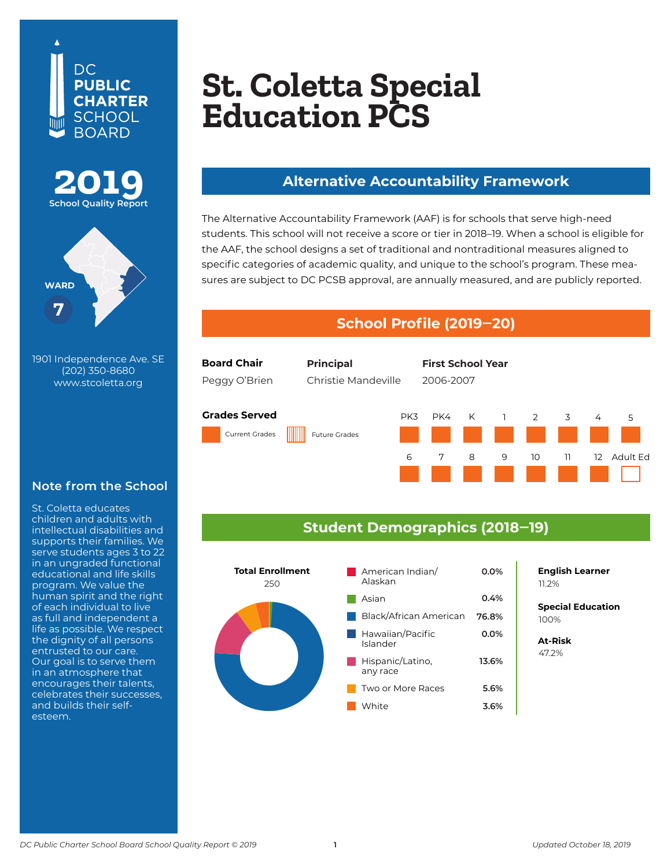





1901 Independence Ave. SE **Washington, DC 20002** (202) 350-8680 **202-545-3180** www.stcoletta.org

#### **Note from the School**

program. We value the<br>
human spirit and the right<br>
of each individual to live<br>
as full and independent a<br>
life as possible. We respect<br>
the dignity of all persons<br>
entrusted to our care.<br>
Our goal is to serve them<br>
in an a St. Coletta educates children and adults with intellectual disabilities and supports their families. We serve students ages 3 to 22 in an ungraded functional educational and life skills program. We value the human spirit and the right of each individual to live as full and independent a life as possible. We respect the dignity of all persons entrusted to our care. Our goal is to serve them in an atmosphere that encourages their talents, celebrates their successes, and builds their selfesteem.

# **Monument Academy PCS St. Coletta Special Education PCS**

#### **Alternative Accountability Framework**

The Alternative Accountability Framework (AAF) is for schools that serve high-need students. This school will not receive a score or tier in 2018–19. When a school is eligible for the AAF, the school designs a set of traditional and nontraditional measures aligned to specific categories of academic quality, and unique to the school's program. These measures are subject to DC PCSB approval, are annually measured, and are publicly reported.

#### **School Profile (2019‒20)**



### **Student Demographics (2018‒19)**



**0.0% English Learner** 11.2%

**Special Education** 100%

**At-Risk** 47.2%